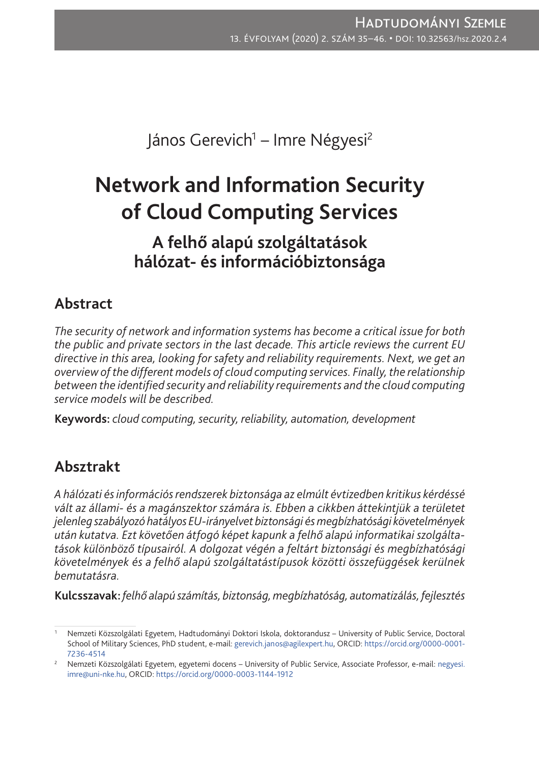János Gerevich<sup>1</sup> – Imre Négyesi<sup>2</sup>

# **Network and Information Security of Cloud Computing Services**

# **A felhő alapú szolgáltatások hálózat- és információbiztonsága**

## **Abstract**

*The security of network and information systems has become a critical issue for both the public and private sectors in the last decade. This article reviews the current EU directive in this area, looking for safety and reliability requirements. Next, we get an overview of the different models of cloud computing services. Finally, the relationship between the identified security and reliability requirements and the cloud computing service models will be described.*

**Keywords:** *cloud computing, security, reliability, automation, development*

# **Absztrakt**

*A hálózati ésinformációs rendszerek biztonsága az elmúlt évtizedben kritikus kérdéssé vált az állami- és a magánszektor számára is. Ebben a cikkben áttekintjük a területet jelenleg szabályozó hatályos EU-irányelvet biztonsági ésmegbízhatósági követelmények után kutatva. Ezt követően átfogó képet kapunk a felhő alapú informatikai szolgáltatások különböző típusairól. A dolgozat végén a feltárt biztonsági és megbízhatósági követelmények és a felhő alapú szolgáltatástípusok közötti összefüggések kerülnek bemutatásra.*

**Kulcsszavak:** *felhő alapú számítás, biztonság, megbízhatóság, automatizálás, fejlesztés*

<sup>1</sup> Nemzeti Közszolgálati Egyetem, Hadtudományi Doktori Iskola, doktorandusz – University of Public Service, Doctoral School of Military Sciences, PhD student, e-mail: [gerevich.janos@agilexpert.hu](mailto:gerevich.janos@agilexpert.hu), ORCID: [https://orcid.org/0000-0001-](https://orcid.org/0000-0001-7236-4514) [7236-4514](https://orcid.org/0000-0001-7236-4514)

<sup>&</sup>lt;sup>2</sup> Nemzeti Közszolgálati Egyetem, egyetemi docens – University of Public Service, Associate Professor, e-mail: [negyesi.](mailto:negyesi.imre@uni-nke.hu) [imre@uni-nke.hu](mailto:negyesi.imre@uni-nke.hu), ORCID: <https://orcid.org/0000-0003-1144-1912>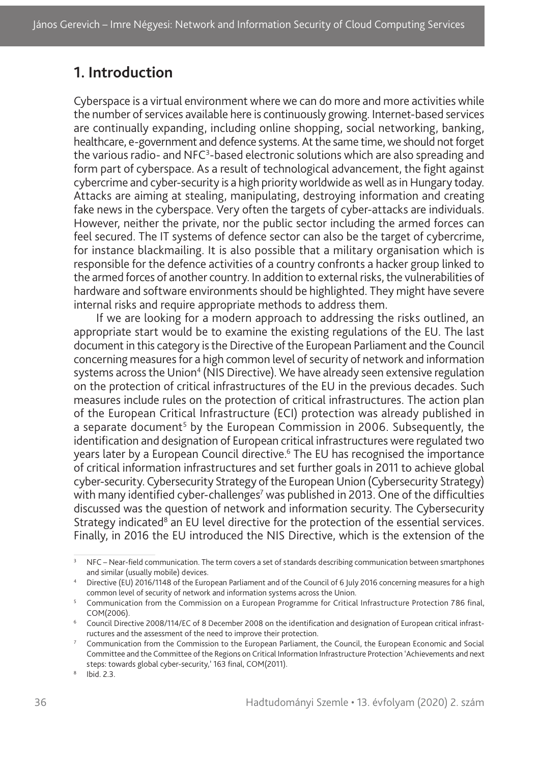## **1. Introduction**

Cyberspace is a virtual environment where we can do more and more activities while the number of services available here is continuously growing. Internet-based services are continually expanding, including online shopping, social networking, banking, healthcare, e-government and defence systems. At the same time, we should not forget the various radio- and NFC<sup>3</sup>-based electronic solutions which are also spreading and form part of cyberspace. As a result of technological advancement, the fight against cybercrime and cyber-security is a high priority worldwide as well as in Hungary today. Attacks are aiming at stealing, manipulating, destroying information and creating fake news in the cyberspace. Very often the targets of cyber-attacks are individuals. However, neither the private, nor the public sector including the armed forces can feel secured. The IT systems of defence sector can also be the target of cybercrime, for instance blackmailing. It is also possible that a military organisation which is responsible for the defence activities of a country confronts a hacker group linked to the armed forces of another country. In addition to external risks, the vulnerabilities of hardware and software environments should be highlighted. They might have severe internal risks and require appropriate methods to address them.

If we are looking for a modern approach to addressing the risks outlined, an appropriate start would be to examine the existing regulations of the EU. The last document in this category is the Directive of the European Parliament and the Council concerning measures for a high common level of security of network and information systems across the Union<sup>4</sup> (NIS Directive). We have already seen extensive regulation on the protection of critical infrastructures of the EU in the previous decades. Such measures include rules on the protection of critical infrastructures. The action plan of the European Critical Infrastructure (ECI) protection was already published in a separate document<sup>5</sup> by the European Commission in 2006. Subsequently, the identification and designation of European critical infrastructures were regulated two years later by a European Council directive.<sup>6</sup> The EU has recognised the importance of critical information infrastructures and set further goals in 2011 to achieve global cyber-security. Cybersecurity Strategy of the European Union (Cybersecurity Strategy) with many identified cyber-challenges<sup>7</sup> was published in 2013. One of the difficulties discussed was the question of network and information security. The Cybersecurity Strategy indicated<sup>8</sup> an EU level directive for the protection of the essential services. Finally, in 2016 the EU introduced the NIS Directive, which is the extension of the

<sup>&</sup>lt;sup>3</sup> NFC – Near-field communication. The term covers a set of standards describing communication between smartphones and similar (usually mobile) devices.

<sup>4</sup> Directive (EU) 2016/1148 of the European Parliament and of the Council of 6 July 2016 concerning measures for a high common level of security of network and information systems across the Union.

<sup>&</sup>lt;sup>5</sup> Communication from the Commission on a European Programme for Critical Infrastructure Protection 786 final, COM(2006).

<sup>6</sup> Council Directive 2008/114/EC of 8 December 2008 on the identification and designation of European critical infrastructures and the assessment of the need to improve their protection.

<sup>&</sup>lt;sup>7</sup> Communication from the Commission to the European Parliament, the Council, the European Economic and Social Committee and the Committee of the Regions on Critical Information Infrastructure Protection 'Achievements and next steps: towards global cyber-security,' 163 final, COM(2011).

<sup>8</sup> Ibid. 2.3.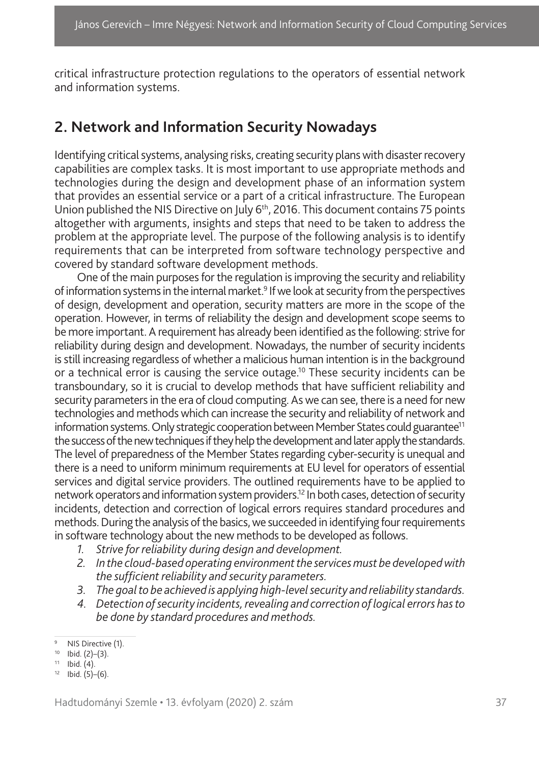critical infrastructure protection regulations to the operators of essential network and information systems.

### **2. Network and Information Security Nowadays**

Identifying critical systems, analysing risks, creating security plans with disaster recovery capabilities are complex tasks. It is most important to use appropriate methods and technologies during the design and development phase of an information system that provides an essential service or a part of a critical infrastructure. The European Union published the NIS Directive on July 6<sup>th</sup>, 2016. This document contains 75 points altogether with arguments, insights and steps that need to be taken to address the problem at the appropriate level. The purpose of the following analysis is to identify requirements that can be interpreted from software technology perspective and covered by standard software development methods.

One of the main purposes for the regulation is improving the security and reliability of information systems in the internal market.<sup>9</sup> If we look at security from the perspectives of design, development and operation, security matters are more in the scope of the operation. However, in terms of reliability the design and development scope seems to be more important. A requirement has already been identified as the following: strive for reliability during design and development. Nowadays, the number of security incidents is still increasing regardless of whether a malicious human intention is in the background or a technical error is causing the service outage.<sup>10</sup> These security incidents can be transboundary, so it is crucial to develop methods that have sufficient reliability and security parameters in the era of cloud computing. As we can see, there is a need for new technologies and methods which can increase the security and reliability of network and information systems. Only strategic cooperation between Member States could guarantee<sup>11</sup> the success of the new techniques if they help the development and later apply the standards. The level of preparedness of the Member States regarding cyber-security is unequal and there is a need to uniform minimum requirements at EU level for operators of essential services and digital service providers. The outlined requirements have to be applied to network operators and information system providers.12 In both cases, detection of security incidents, detection and correction of logical errors requires standard procedures and methods. During the analysis of the basics, we succeeded in identifying four requirements in software technology about the new methods to be developed as follows.

- *1. Strive for reliability during design and development.*
- *2. In the cloud-based operating environment the services must be developed with the sufficient reliability and security parameters.*
- *3. The goal to be achieved is applying high-level security and reliability standards.*
- *4. Detection of security incidents, revealing and correction of logical errors has to be done by standard procedures and methods.*

<sup>&</sup>lt;sup>9</sup> NIS Directive (1).

<sup>10</sup> Ibid.  $(2)-(3)$ .<br>
11 Ibid.  $(4)$ .

 $12$  Ibid.  $(5)-(6)$ .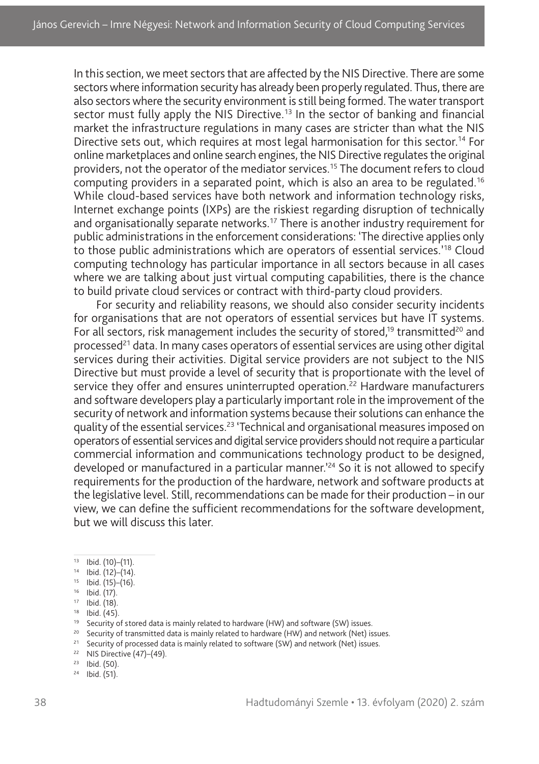In this section, we meet sectors that are affected by the NIS Directive. There are some sectors where information security has already been properly regulated. Thus, there are also sectors where the security environment is still being formed. The water transport sector must fully apply the NIS Directive.<sup>13</sup> In the sector of banking and financial market the infrastructure regulations in many cases are stricter than what the NIS Directive sets out, which requires at most legal harmonisation for this sector.<sup>14</sup> For online marketplaces and online search engines, the NIS Directive regulates the original providers, not the operator of the mediator services.15 The document refers to cloud computing providers in a separated point, which is also an area to be regulated.16 While cloud-based services have both network and information technology risks, Internet exchange points (IXPs) are the riskiest regarding disruption of technically and organisationally separate networks.<sup>17</sup> There is another industry requirement for public administrations in the enforcement considerations: 'The directive applies only to those public administrations which are operators of essential services.'18 Cloud computing technology has particular importance in all sectors because in all cases where we are talking about just virtual computing capabilities, there is the chance to build private cloud services or contract with third-party cloud providers.

For security and reliability reasons, we should also consider security incidents for organisations that are not operators of essential services but have IT systems. For all sectors, risk management includes the security of stored,<sup>19</sup> transmitted<sup>20</sup> and processed<sup>21</sup> data. In many cases operators of essential services are using other digital services during their activities. Digital service providers are not subject to the NIS Directive but must provide a level of security that is proportionate with the level of service they offer and ensures uninterrupted operation.<sup>22</sup> Hardware manufacturers and software developers play a particularly important role in the improvement of the security of network and information systems because their solutions can enhance the quality of the essential services.<sup>23</sup> 'Technical and organisational measures imposed on operators of essential services and digital service providers should not require a particular commercial information and communications technology product to be designed, developed or manufactured in a particular manner.<sup>124</sup> So it is not allowed to specify requirements for the production of the hardware, network and software products at the legislative level. Still, recommendations can be made for their production – in our view, we can define the sufficient recommendations for the software development, but we will discuss this later.

- $13$  Ibid. (10)–(11).
- <sup>14</sup> Ibid. (12)–(14).
- $15$  Ibid. (15)–(16).
- $16$  Ibid. (17).

 $18$  Ibid.  $(45)$ .

<sup>20</sup> Security of transmitted data is mainly related to hardware (HW) and network (Net) issues.

<sup>22</sup> NIS Directive  $(47)$ – $(49)$ .

 $17$  Ibid. (18).

<sup>&</sup>lt;sup>19</sup> Security of stored data is mainly related to hardware (HW) and software (SW) issues.

<sup>&</sup>lt;sup>21</sup> Security of processed data is mainly related to software (SW) and network (Net) issues.

 $23$  Ibid. (50).

 $24$  Ibid. (51).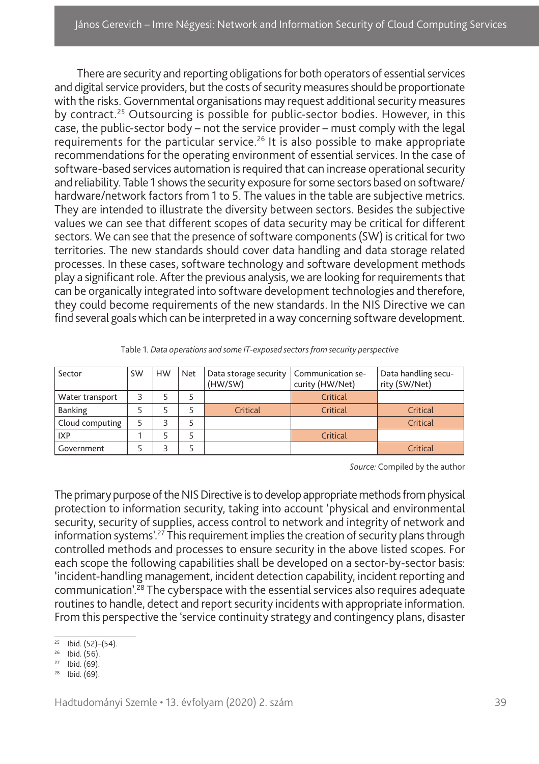There are security and reporting obligations for both operators of essential services and digital service providers, but the costs of security measures should be proportionate with the risks. Governmental organisations may request additional security measures by contract.25 Outsourcing is possible for public-sector bodies. However, in this case, the public-sector body – not the service provider – must comply with the legal requirements for the particular service.<sup>26</sup> It is also possible to make appropriate recommendations for the operating environment of essential services. In the case of software-based services automation is required that can increase operational security and reliability. Table 1 shows the security exposure for some sectors based on software/ hardware/network factors from 1 to 5. The values in the table are subjective metrics. They are intended to illustrate the diversity between sectors. Besides the subjective values we can see that different scopes of data security may be critical for different sectors. We can see that the presence of software components (SW) is critical for two territories. The new standards should cover data handling and data storage related processes. In these cases, software technology and software development methods play a significant role. After the previous analysis, we are looking for requirements that can be organically integrated into software development technologies and therefore, they could become requirements of the new standards. In the NIS Directive we can find several goals which can be interpreted in away concerning software development.

| Sector          | <b>SW</b> | <b>HW</b> | <b>Net</b> | Data storage security   Communication se-<br>(HW/SW) | curity (HW/Net) | Data handling secu-<br>rity (SW/Net) |
|-----------------|-----------|-----------|------------|------------------------------------------------------|-----------------|--------------------------------------|
| Water transport |           |           |            |                                                      | Critical        |                                      |
| <b>Banking</b>  |           |           |            | Critical                                             | Critical        | Critical                             |
| Cloud computing |           |           |            |                                                      |                 | Critical                             |
| <b>IXP</b>      |           |           |            |                                                      | Critical        |                                      |
| Government      |           |           |            |                                                      |                 | Critical                             |

|  | Table 1. Data operations and some IT-exposed sectors from security perspective |
|--|--------------------------------------------------------------------------------|
|  |                                                                                |
|  |                                                                                |

*Source:* Compiled by the author

The primary purpose of the NIS Directive is to develop appropriate methods from physical protection to information security, taking into account 'physical and environmental security, security of supplies, access control to network and integrity of network and information systems'.27 This requirement implies the creation of security plans through controlled methods and processes to ensure security in the above listed scopes. For each scope the following capabilities shall be developed on a sector-by-sector basis: 'incident-handling management, incident detection capability, incident reporting and communication'.28 The cyberspace with the essential services also requires adequate routines to handle, detect and report security incidents with appropriate information. From this perspective the 'service continuity strategy and contingency plans, disaster

 $25$  Ibid. (52)–(54).

 $26$  Ibid. (56).

 $27$  Ibid. (69).

<sup>28</sup> Ibid. (69).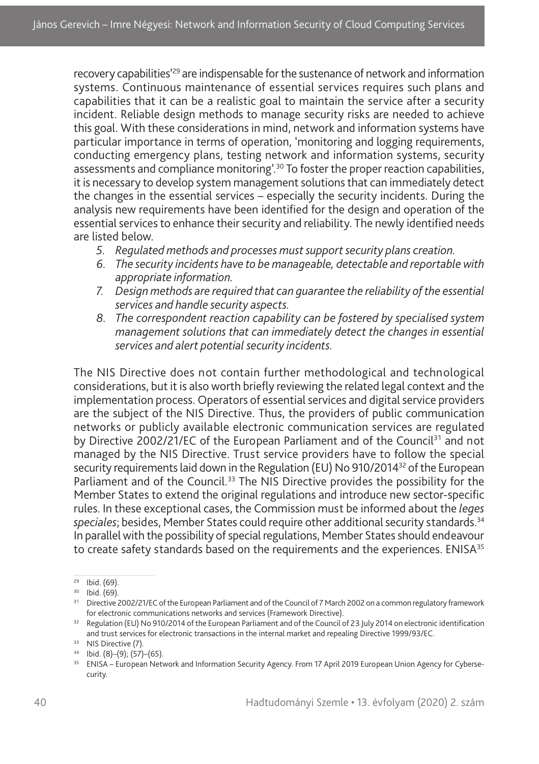recovery capabilities<sup>'29</sup> are indispensable for the sustenance of network and information systems. Continuous maintenance of essential services requires such plans and capabilities that it can be a realistic goal to maintain the service after a security incident. Reliable design methods to manage security risks are needed to achieve this goal. With these considerations in mind, network and information systems have particular importance in terms of operation, 'monitoring and logging requirements, conducting emergency plans, testing network and information systems, security assessments and compliance monitoring<sup>', 30</sup> To foster the proper reaction capabilities, it is necessary to develop system management solutions that can immediately detect the changes in the essential services – especially the security incidents. During the analysis new requirements have been identified for the design and operation of the essential services to enhance their security and reliability. The newly identified needs are listed below.

- *5. Regulated methods and processes must support security plans creation.*
- *6. The security incidents have to be manageable, detectable and reportable with appropriate information.*
- *7. Design methods are required that can guarantee the reliability of the essential services and handle security aspects.*
- *8. The correspondent reaction capability can be fostered by specialised system management solutions that can immediately detect the changes in essential services and alert potential security incidents.*

The NIS Directive does not contain further methodological and technological considerations, but it is also worth briefly reviewing the related legal context and the implementation process. Operators of essential services and digital service providers are the subject of the NIS Directive. Thus, the providers of public communication networks or publicly available electronic communication services are regulated by Directive 2002/21/EC of the European Parliament and of the Council<sup>31</sup> and not managed by the NIS Directive. Trust service providers have to follow the special security requirements laid down in the Regulation (EU) No 910/2014<sup>32</sup> of the European Parliament and of the Council.<sup>33</sup> The NIS Directive provides the possibility for the Member States to extend the original regulations and introduce new sector-specific rules. In these exceptional cases, the Commission must be informed about the *leges speciales*; besides, Member States could require other additional security standards.34 In parallel with the possibility of special regulations, Member States should endeavour to create safety standards based on the requirements and the experiences. ENISA $35$ 

 $29$  Ibid. (69).

<sup>30</sup> Ibid. (69).

<sup>&</sup>lt;sup>31</sup> Directive 2002/21/EC of the European Parliament and of the Council of 7 March 2002 on a common regulatory framework

for electronic communications networks and services (Framework Directive).<br><sup>32</sup> Regulation (EU) No 910/2014 of the European Parliament and of the Council of 23 July 2014 on electronic identification and trust services for electronic transactions in the internal market and repealing Directive 1999/93/EC.

<sup>&</sup>lt;sup>33</sup> NIS Directive (7).

 $34$  Ibid. (8)–(9); (57)–(65).

<sup>&</sup>lt;sup>35</sup> ENISA – European Network and Information Security Agency. From 17 April 2019 European Union Agency for Cybersecurity.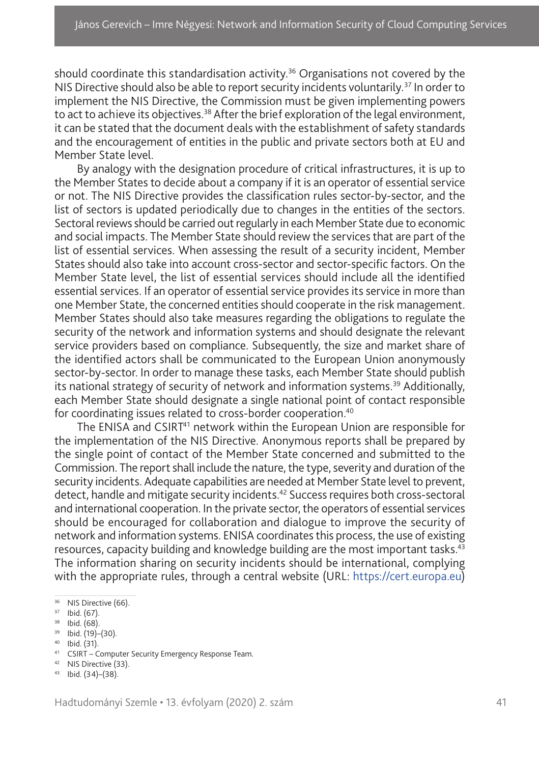should coordinate this standardisation activity.<sup>36</sup> Organisations not covered by the NIS Directive should also be able to report security incidents voluntarily.<sup>37</sup> In order to implement the NIS Directive, the Commission must be given implementing powers to act to achieve its objectives.<sup>38</sup> After the brief exploration of the legal environment, it can be stated that the document deals with the establishment of safety standards and the encouragement of entities in the public and private sectors both at EU and Member State level.

By analogy with the designation procedure of critical infrastructures, it is up to the Member States to decide about a company if it is an operator of essential service or not. The NIS Directive provides the classification rules sector-by-sector, and the list of sectors is updated periodically due to changes in the entities of the sectors. Sectoral reviews should be carried out regularly in each Member State due to economic and social impacts. The Member State should review the services that are part of the list of essential services. When assessing the result of a security incident, Member States should also take into account cross-sector and sector-specific factors. On the Member State level, the list of essential services should include all the identified essential services. If an operator of essential service provides its service in more than one Member State, the concerned entities should cooperate in the risk management. Member States should also take measures regarding the obligations to regulate the security of the network and information systems and should designate the relevant service providers based on compliance. Subsequently, the size and market share of the identified actors shall be communicated to the European Union anonymously sector-by-sector. In order to manage these tasks, each Member State should publish its national strategy of security of network and information systems.<sup>39</sup> Additionally, each Member State should designate a single national point of contact responsible for coordinating issues related to cross-border cooperation.<sup>40</sup>

The ENISA and CSIRT<sup>41</sup> network within the European Union are responsible for the implementation of the NIS Directive. Anonymous reports shall be prepared by the single point of contact of the Member State concerned and submitted to the Commission. The report shall include the nature, the type, severity and duration of the security incidents. Adequate capabilities are needed at Member State level to prevent, detect, handle and mitigate security incidents.42 Success requires both cross-sectoral and international cooperation. In the private sector, the operators of essential services should be encouraged for collaboration and dialogue to improve the security of network and information systems. ENISA coordinates this process, the use of existing resources, capacity building and knowledge building are the most important tasks.43 The information sharing on security incidents should be international, complying with the appropriate rules, through a central website (URL: [https://cert.europa.eu\)](https://cert.europa.eu)

- <sup>39</sup> Ibid. (19)–(30).
- <sup>40</sup> Ibid. (31).

<sup>42</sup> NIS Directive (33).

<sup>&</sup>lt;sup>36</sup> NIS Directive (66).

 $37$  Ibid. (67).

<sup>38</sup> Ibid. (68).

<sup>41</sup> CSIRT – Computer Security Emergency Response Team.

 $43$  Ibid.  $(34)$ – $(38)$ .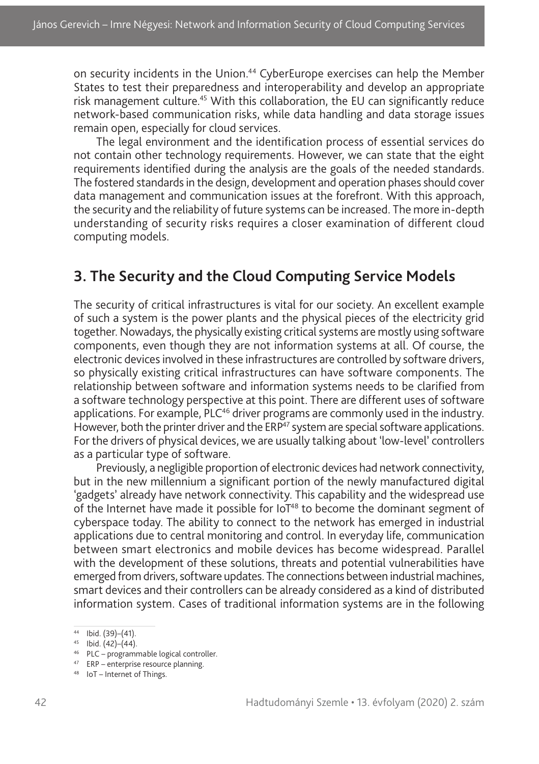on security incidents in the Union.<sup>44</sup> CyberEurope exercises can help the Member States to test their preparedness and interoperability and develop an appropriate risk management culture.<sup>45</sup> With this collaboration, the EU can significantly reduce network-based communication risks, while data handling and data storage issues remain open, especially for cloud services.

The legal environment and the identification process of essential services do not contain other technology requirements. However, we can state that the eight requirements identified during the analysis are the goals of the needed standards. The fostered standards in the design, development and operation phases should cover data management and communication issues at the forefront. With this approach, the security and the reliability of future systems can be increased. The more in-depth understanding of security risks requires a closer examination of different cloud computing models.

#### **3. The Security and the Cloud Computing Service Models**

The security of critical infrastructures is vital for our society. An excellent example of such a system is the power plants and the physical pieces of the electricity grid together. Nowadays, the physically existing critical systems are mostly using software components, even though they are not information systems at all. Of course, the electronic devices involved in these infrastructures are controlled by software drivers, so physically existing critical infrastructures can have software components. The relationship between software and information systems needs to be clarified from a software technology perspective at this point. There are different uses of software applications. For example,  $PLC<sup>46</sup>$  driver programs are commonly used in the industry. However, both the printer driver and the ERP<sup>47</sup> system are special software applications. For the drivers of physical devices, we are usually talking about 'low-level' controllers as a particular type of software.

Previously, a negligible proportion of electronic devices had network connectivity, but in the new millennium a significant portion of the newly manufactured digital 'gadgets' already have network connectivity. This capability and the widespread use of the Internet have made it possible for IoT<sup>48</sup> to become the dominant segment of cyberspace today. The ability to connect to the network has emerged in industrial applications due to central monitoring and control. In everyday life, communication between smart electronics and mobile devices has become widespread. Parallel with the development of these solutions, threats and potential vulnerabilities have emerged from drivers, software updates. The connections between industrial machines, smart devices and their controllers can be already considered as a kind of distributed information system. Cases of traditional information systems are in the following

<sup>44</sup> Ibid. (39)–(41).

 $45$  Ibid. (42)–(44).

<sup>46</sup> PLC – programmable logical controller.

<sup>47</sup> ERP – enterprise resource planning.

<sup>48</sup> IoT – Internet of Things.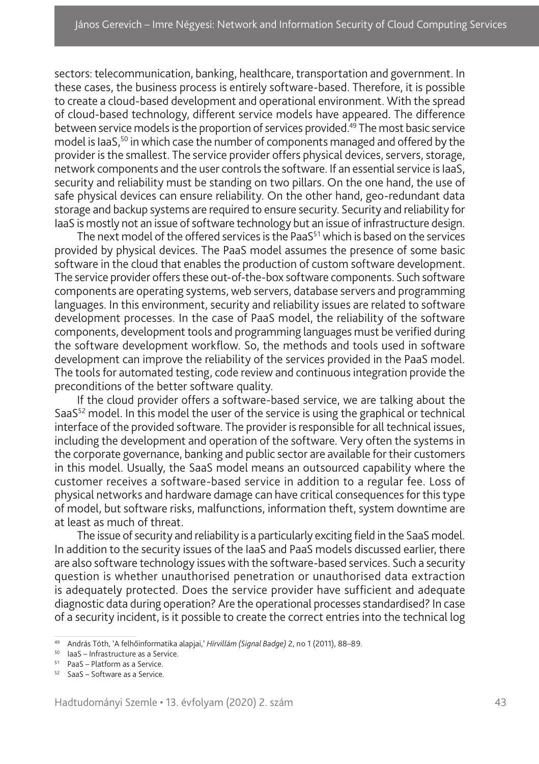sectors: telecommunication, banking, healthcare, transportation and government. In these cases, the business process is entirely software-based. Therefore, it is possible to create a cloud-based development and operational environment. With the spread of cloud-based technology, different service models have appeared. The difference between service models is the proportion of services provided.49 The most basic service model is IaaS,<sup>50</sup> in which case the number of components managed and offered by the provider is the smallest. The service provider offers physical devices, servers, storage, network components and the user controls the software. If an essential service is IaaS, security and reliability must be standing on two pillars. On the one hand, the use of safe physical devices can ensure reliability. On the other hand, geo-redundant data storage and backup systems are required to ensure security. Security and reliability for IaaS is mostly not an issue of software technology but an issue of infrastructure design.

The next model of the offered services is the PaaS<sup>51</sup> which is based on the services provided by physical devices. The PaaS model assumes the presence of some basic software in the cloud that enables the production of custom software development. The service provider offers these out-of-the-box software components. Such software components are operating systems, web servers, database servers and programming languages. In this environment, security and reliability issues are related to software development processes. In the case of PaaS model, the reliability of the software components, development tools and programming languages must be verified during the software development workflow. So, the methods and tools used in software development can improve the reliability of the services provided in the PaaS model. The tools for automated testing, code review and continuous integration provide the preconditions of the better software quality.

If the cloud provider offers a software-based service, we are talking about the SaaS<sup>52</sup> model. In this model the user of the service is using the graphical or technical interface of the provided software. The provider is responsible for all technical issues, including the development and operation of the software. Very often the systems in the corporate governance, banking and public sector are available for their customers in this model. Usually, the SaaS model means an outsourced capability where the customer receives a software-based service in addition to a regular fee. Loss of physical networks and hardware damage can have critical consequences for this type of model, but software risks, malfunctions, information theft, system downtime are at least as much of threat.

The issue of security and reliability is a particularly exciting field in the SaaS model. In addition to the security issues of the IaaS and PaaS models discussed earlier, there are also software technology issues with the software-based services. Such a security question is whether unauthorised penetration or unauthorised data extraction is adequately protected. Does the service provider have sufficient and adequate diagnostic data during operation? Are the operational processes standardised? In case of a security incident, is it possible to create the correct entries into the technical log

<sup>49</sup> András Tóth, 'A felhőinformatika alapjai,' *Hírvillám (Signal Badge)* 2, no 1 (2011), 88–89.

<sup>50</sup> IaaS – Infrastructure as a Service.

 $51$  PaaS – Platform as a Service.

 $52$  SaaS – Software as a Service.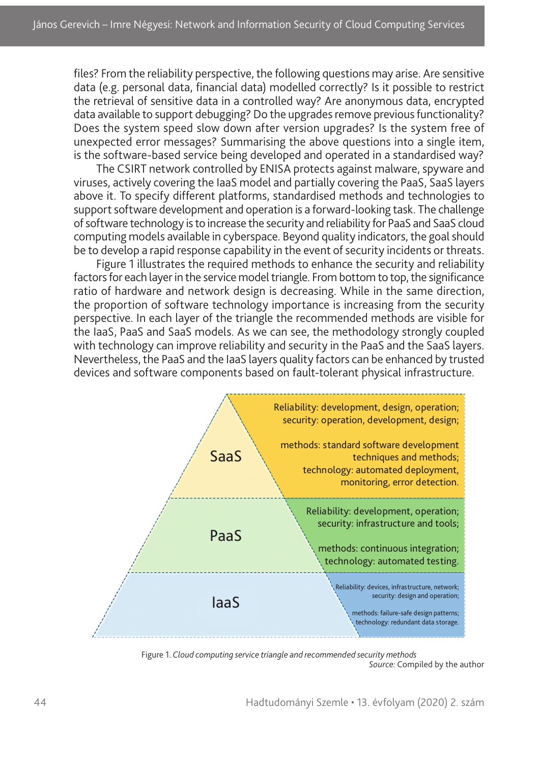files? From the reliability perspective, the following questions may arise. Are sensitive data (e.g. personal data, financial data) modelled correctly? Is it possible to restrict the retrieval of sensitive data in a controlled way? Are anonymous data, encrypted data available to support debugging? Do the upgrades remove previous functionality? Does the system speed slow down after version upgrades? Is the system free of unexpected error messages? Summarising the above questions into a single item, is the software-based service being developed and operated in a standardised way?

The CSIRT network controlled by ENISA protects against malware, spyware and viruses, actively covering the IaaS model and partially covering the PaaS, SaaS layers above it. To specify different platforms, standardised methods and technologies to support software development and operation is a forward-looking task. The challenge of software technology is to increase the security and reliability for PaaS and SaaS cloud computing models available in cyberspace. Beyond quality indicators, the goal should be to develop a rapid response capability in the event of security incidents or threats.

Figure 1 illustrates the required methods to enhance the security and reliability factors for each layer in the service model triangle. From bottom to top, the significance ratio of hardware and network design is decreasing. While in the same direction, the proportion of software technology importance is increasing from the security perspective. In each layer of the triangle the recommended methods are visible for the IaaS, PaaS and SaaS models. As we can see, the methodology strongly coupled with technology can improve reliability and security in the PaaS and the SaaS layers. Nevertheless, the PaaS and the IaaS layers quality factors can be enhanced by trusted devices and software components based on fault-tolerant physical infrastructure.



Figure 1. *Cloud computing service triangle and recommended security methods Source:* Compiled by the author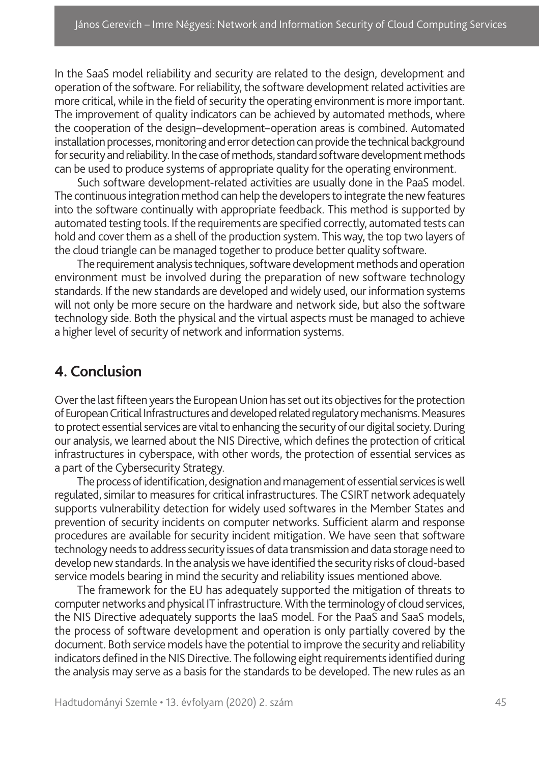In the SaaS model reliability and security are related to the design, development and operation of the software. For reliability, the software development related activities are more critical, while in the field of security the operating environment is more important. The improvement of quality indicators can be achieved by automated methods, where the cooperation of the design–development–operation areas is combined. Automated installation processes, monitoring and error detection can provide the technical background for security and reliability. In the case of methods, standard software development methods can be used to produce systems of appropriate quality for the operating environment.

Such software development-related activities are usually done in the PaaS model. The continuous integration method can help the developers to integrate the new features into the software continually with appropriate feedback. This method is supported by automated testing tools. If the requirements are specified correctly, automated tests can hold and cover them as a shell of the production system. This way, the top two layers of the cloud triangle can be managed together to produce better quality software.

The requirement analysis techniques, software development methods and operation environment must be involved during the preparation of new software technology standards. If the new standards are developed and widely used, our information systems will not only be more secure on the hardware and network side, but also the software technology side. Both the physical and the virtual aspects must be managed to achieve a higher level of security of network and information systems.

#### **4. Conclusion**

Over the last fifteen years the European Union has set out its objectives for the protection of European Critical Infrastructures and developed related regulatory mechanisms. Measures to protect essential services are vital to enhancing the security of our digital society. During our analysis, we learned about the NIS Directive, which defines the protection of critical infrastructures in cyberspace, with other words, the protection of essential services as a part of the Cybersecurity Strategy.

The process of identification, designation and management of essential services is well regulated, similar to measures for critical infrastructures. The CSIRT network adequately supports vulnerability detection for widely used softwares in the Member States and prevention of security incidents on computer networks. Sufficient alarm and response procedures are available for security incident mitigation. We have seen that software technology needs to address security issues of data transmission and data storage need to develop new standards. In the analysis we have identified the security risks of cloud-based service models bearing in mind the security and reliability issues mentioned above.

The framework for the EU has adequately supported the mitigation of threats to computer networks and physical IT infrastructure. With the terminology of cloud services, the NIS Directive adequately supports the IaaS model. For the PaaS and SaaS models, the process of software development and operation is only partially covered by the document. Both service models have the potential to improve the security and reliability indicators defined in the NIS Directive. The following eight requirements identified during the analysis may serve as a basis for the standards to be developed. The new rules as an